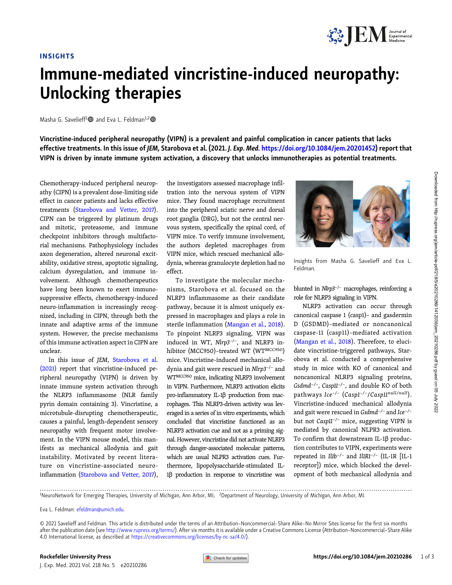

## Immune-mediated vincristine-induced neuropathy: Unlocking therapies

Masha G. Savelieff<sup>1</sup> and Eva L. Feldman<sup>1,2</sup>

Vincristine-induced peripheral neuropathy (VIPN) is a prevalent and painful complication in cancer patients that lacks effective treatments. In this issue of JEM, Starobova et al. (2021. J. Exp. Med. [https://doi.org/10.1084/jem.20201452\)](https://doi.org/10.1084/jem.20201452) report that VIPN is driven by innate immune system activation, a discovery that unlocks immunotherapies as potential treatments.

Chemotherapy-induced peripheral neuropathy (CIPN) is a prevalent dose-limiting side effect in cancer patients and lacks effective treatments ([Starobova and Vetter, 2017\)](#page-2-0). CIPN can be triggered by platinum drugs and mitotic, proteasome, and immune checkpoint inhibitors through multifactorial mechanisms. Pathophysiology includes axon degeneration, altered neuronal excitability, oxidative stress, apoptotic signaling, calcium dysregulation, and immune involvement. Although chemotherapeutics have long been known to exert immunosuppressive effects, chemotherapy-induced neuro-inflammation is increasingly recognized, including in CIPN, through both the innate and adaptive arms of the immune system. However, the precise mechanisms of this immune activation aspect in CIPN are unclear.

In this issue of JEM, [Starobova et al.](#page-2-0) [\(2021\)](#page-2-0) report that vincristine-induced peripheral neuropathy (VIPN) is driven by innate immune system activation through the NLRP3 inflammasome (NLR family pyrin domain containing 3). Vincristine, a microtubule-disrupting chemotherapeutic, causes a painful, length-dependent sensory neuropathy with frequent motor involvement. In the VIPN mouse model, this manifests as mechanical allodynia and gait instability. Motivated by recent literature on vincristine-associated neuroinflammation [\(Starobova and Vetter, 2017\)](#page-2-0), the investigators assessed macrophage infiltration into the nervous system of VIPN mice. They found macrophage recruitment into the peripheral sciatic nerve and dorsal root ganglia (DRG), but not the central nervous system, specifically the spinal cord, of VIPN mice. To verify immune involvement, the authors depleted macrophages from VIPN mice, which rescued mechanical allodynia, whereas granulocyte depletion had no effect.

To investigate the molecular mechanisms, Starobova et al. focused on the NLRP3 inflammasome as their candidate pathway, because it is almost uniquely expressed in macrophages and plays a role in sterile inflammation ([Mangan et al., 2018\)](#page-2-0). To pinpoint NLRP3 signaling, VIPN was induced in WT, Nlrp3−/−, and NLRP3 inhibitor (MCC950)–treated WT (WTMCC950) mice. Vincristine-induced mechanical allodynia and gait were rescued in Nlrp3−/<sup>−</sup> and WTMCC950 mice, indicating NLRP3 involvement in VIPN. Furthermore, NLRP3 activation elicits pro-inflammatory IL-1β production from macrophages. This NLRP3-driven activity was leveraged in a series of in vitro experiments, which concluded that vincristine functioned as an NLRP3 activation cue and not as a priming signal. However, vincristine did not activate NLRP3 through danger-associated molecular patterns, which are usual NLPR3 activation cues. Furthermore, lipopolysaccharide-stimulated IL-1β production in response to vincristine was



Insights from Masha G. Savelieff and Eva L. Feldman.

blunted in Nlrp3−/<sup>−</sup> macrophages, reinforcing a role for NLRP3 signaling in VIPN.

NLRP3 activation can occur through canonical caspase 1 (casp1)– and gasdermin D (GSDMD)–mediated or noncanonical caspase-11 (casp11)–mediated activation [\(Mangan et al., 2018\)](#page-2-0). Therefore, to elucidate vincristine-triggered pathways, Starobova et al. conducted a comprehensive study in mice with KO of canonical and noncanonical NLRP3 signaling proteins, Gsdmd−/−, Casp11−/−, and double KO of both pathways Ice−/<sup>−</sup> (Casp1−/−/Casp11null/null). Vincristine-induced mechanical allodynia and gait were rescued in Gsdmd−/<sup>−</sup> and Ice−/<sup>−</sup> but not Casp11−/<sup>−</sup> mice, suggesting VIPN is mediated by canonical NLPR3 activation. To confirm that downstream IL-1β production contributes to VIPN, experiments were repeated in Il1b−/<sup>−</sup> and Il1R1−/<sup>−</sup> (IL-1R [IL-1 receptor]) mice, which blocked the development of both mechanical allodynia and

............................................................................................................................................................................. <sup>1</sup> NeuroNetwork for Emerging Therapies, University of Michigan, Ann Arbor, MI; <sup>2</sup> Department of Neurology, University of Michigan, Ann Arbor, MI.

Eva L. Feldman: [efeldman@umich.edu](mailto:efeldman@umich.edu).

© 2021 Savelieff and Feldman. This article is distributed under the terms of an Attribution–Noncommercial–Share Alike–No Mirror Sites license for the first six months after the publication date (see [http://www.rupress.org/terms/\)](http://www.rupress.org/terms/). After six months it is available under a Creative Commons License (Attribution–Noncommercial–Share Alike 4.0 International license, as described at <https://creativecommons.org/licenses/by-nc-sa/4.0/>).

J. Exp. Med. 2021 Vol. 218 No. 5 e20210286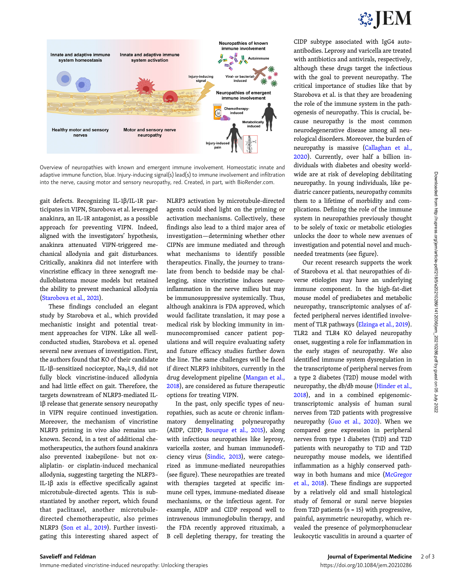

Overview of neuropathies with known and emergent immune involvement. Homeostatic innate and adaptive immune function, blue. Injury-inducing signal(s) lead(s) to immune involvement and infiltration into the nerve, causing motor and sensory neuropathy, red. Created, in part, with BioRender.com.

gait defects. Recognizing IL-1β/IL-1R participates in VIPN, Starobova et al. leveraged anakinra, an IL-1R antagonist, as a possible approach for preventing VIPN. Indeed, aligned with the investigators' hypothesis, anakinra attenuated VIPN-triggered mechanical allodynia and gait disturbances. Critically, anakinra did not interfere with vincristine efficacy in three xenograft medulloblastoma mouse models but retained the ability to prevent mechanical allodynia [\(Starobova et al., 2021](#page-2-0)).

These findings concluded an elegant study by Starobova et al., which provided mechanistic insight and potential treatment approaches for VIPN. Like all wellconducted studies, Starobova et al. opened several new avenues of investigation. First, the authors found that KO of their candidate IL-1β-sensitized nociceptor, Na<sub>v</sub>1.9, did not fully block vincristine-induced allodynia and had little effect on gait. Therefore, the targets downstream of NLRP3-mediated IL-1β release that generate sensory neuropathy in VIPN require continued investigation. Moreover, the mechanism of vincristine NLRP3 priming in vivo also remains unknown. Second, in a test of additional chemotherapeutics, the authors found anakinra also prevented ixabepilone- but not oxaliplatin- or cisplatin-induced mechanical allodynia, suggesting targeting the NLRP3– IL-1β axis is effective specifically against microtubule-directed agents. This is substantiated by another report, which found that paclitaxel, another microtubuledirected chemotherapeutic, also primes NLRP3 ([Son et al., 2019\)](#page-2-0). Further investigating this interesting shared aspect of NLRP3 activation by microtubule-directed agents could shed light on the priming or activation mechanisms. Collectively, these findings also lead to a third major area of investigation—determining whether other CIPNs are immune mediated and through what mechanisms to identify possible therapeutics. Finally, the journey to translate from bench to bedside may be challenging, since vincristine induces neuroinflammation in the nerve milieu but may be immunosuppressive systemically. Thus, although anakinra is FDA approved, which would facilitate translation, it may pose a medical risk by blocking immunity in immunocompromised cancer patient populations and will require evaluating safety and future efficacy studies further down the line. The same challenges will be faced if direct NLRP3 inhibitors, currently in the drug development pipeline ([Mangan et al.,](#page-2-0) [2018](#page-2-0)), are considered as future therapeutic options for treating VIPN.

In the past, only specific types of neuropathies, such as acute or chronic inflammatory demyelinating polyneuropathy (AIDP, CIDP; [Bourque et al., 2015\)](#page-2-0), along with infectious neuropathies like leprosy, varicella zoster, and human immunodeficiency virus ([Sindic, 2013\)](#page-2-0), were categorized as immune-mediated neuropathies (see figure). These neuropathies are treated with therapies targeted at specific immune cell types, immune-mediated disease mechanisms, or the infectious agent. For example, AIDP and CIDP respond well to intravenous immunoglobulin therapy, and the FDA recently approved rituximab, a B cell depleting therapy, for treating the

CIDP subtype associated with IgG4 autoantibodies. Leprosy and varicella are treated with antibiotics and antivirals, respectively, although these drugs target the infectious with the goal to prevent neuropathy. The critical importance of studies like that by Starobova et al. is that they are broadening the role of the immune system in the pathogenesis of neuropathy. This is crucial, because neuropathy is the most common neurodegenerative disease among all neurological disorders. Moreover, the burden of neuropathy is massive [\(Callaghan et al.,](#page-2-0) [2020\)](#page-2-0). Currently, over half a billion individuals with diabetes and obesity worldwide are at risk of developing debilitating neuropathy. In young individuals, like pediatric cancer patients, neuropathy commits them to a lifetime of morbidity and complications. Defining the role of the immune system in neuropathies previously thought to be solely of toxic or metabolic etiologies unlocks the door to whole new avenues of investigation and potential novel and muchneeded treatments (see figure).

Our recent research supports the work of Starobova et al. that neuropathies of diverse etiologies may have an underlying immune component. In the high-fat-diet mouse model of prediabetes and metabolic neuropathy, transcriptomic analyses of affected peripheral nerves identified involvement of TLR pathways [\(Elzinga et al., 2019\)](#page-2-0). TLR2 and TLR4 KO delayed neuropathy onset, suggesting a role for inflammation in the early stages of neuropathy. We also identified immune system dysregulation in the transcriptome of peripheral nerves from a type 2 diabetes (T2D) mouse model with neuropathy, the db/db mouse [\(Hinder et al.,](#page-2-0) [2018\)](#page-2-0), and in a combined epigenomictranscriptomic analysis of human sural nerves from T2D patients with progressive neuropathy ([Guo et al., 2020\)](#page-2-0). When we compared gene expression in peripheral nerves from type 1 diabetes (T1D) and T2D patients with neuropathy to T1D and T2D neuropathy mouse models, we identified inflammation as a highly conserved pathway in both humans and mice [\(McGregor](#page-2-0) [et al., 2018](#page-2-0)). These findings are supported by a relatively old and small histological study of femoral or sural nerve biopsies from T2D patients  $(n = 15)$  with progressive, painful, asymmetric neuropathy, which revealed the presence of polymorphonuclear leukocytic vasculitis in around a quarter of Downloaded from http://rupress.org/jem/article-pdf/218/5/e20210286/1412036/jem\_20210286.pdf by guest on 05 July 2022

Downloaded from http://rupress.org/jem/article-pdf/218/5/e20210286/1412036/jem\_20210286.pdf by guest on 05 July 2022